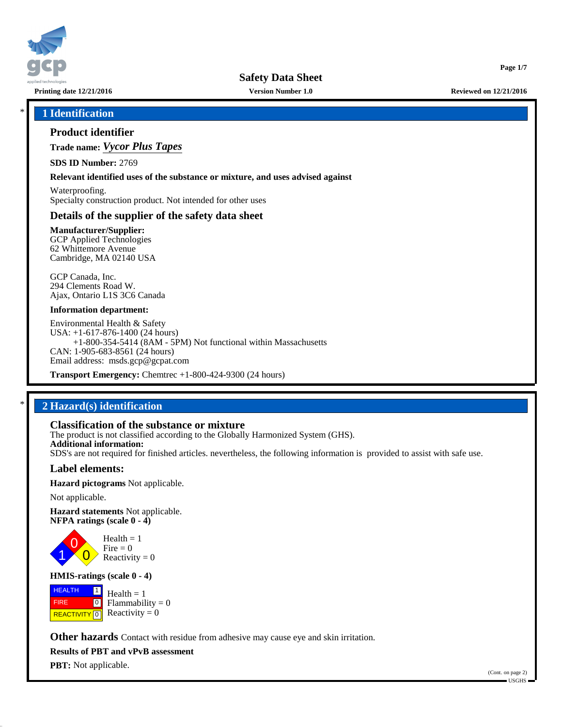

**Printing date 12/21/2016 Version Number 1.0 Reviewed on 12/21/2016**

**Page 1/7**

# \* **1 Identification**

# **Product identifier**

**Trade name:** *Vycor Plus Tapes*

**SDS ID Number:** 2769

#### **Relevant identified uses of the substance or mixture, and uses advised against**

Waterproofing. Specialty construction product. Not intended for other uses

## **Details of the supplier of the safety data sheet**

**Manufacturer/Supplier:** GCP Applied Technologies 62 Whittemore Avenue Cambridge, MA 02140 USA

GCP Canada, Inc. 294 Clements Road W. Ajax, Ontario L1S 3C6 Canada

#### **Information department:**

Environmental Health & Safety USA: +1-617-876-1400 (24 hours) +1-800-354-5414 (8AM - 5PM) Not functional within Massachusetts CAN: 1-905-683-8561 (24 hours) Email address: msds.gcp@gcpat.com

**Transport Emergency:** Chemtrec +1-800-424-9300 (24 hours)

# \* **2 Hazard(s) identification**

# **Classification of the substance or mixture**

The product is not classified according to the Globally Harmonized System (GHS). **Additional information:** SDS's are not required for finished articles. nevertheless, the following information is provided to assist with safe use.

#### **Label elements:**

**Hazard pictograms** Not applicable.

Not applicable.

**Hazard statements** Not applicable. **NFPA ratings (scale 0 - 4)**



**HMIS-ratings (scale 0 - 4)**

**HEALTH**  FIRE **REACTIVITY** 0  $\boxed{1}$  $\boxed{0}$  $Health = 1$ Flammability  $= 0$ Reactivity  $= 0$ 

**Other hazards** Contact with residue from adhesive may cause eye and skin irritation.

**Results of PBT and vPvB assessment**

**PBT:** Not applicable.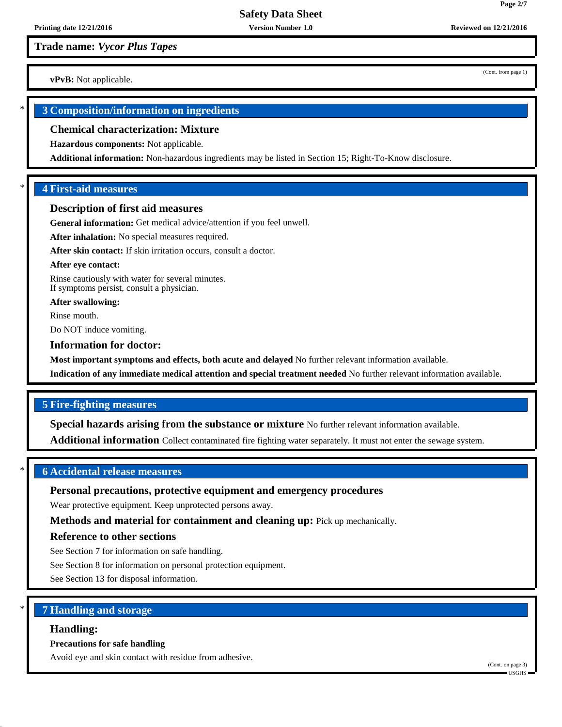# **Safety Data Sheet**

# **Trade name:** *Vycor Plus Tapes*

**vPvB:** Not applicable.

# \* **3 Composition/information on ingredients**

#### **Chemical characterization: Mixture**

**Hazardous components:** Not applicable.

**Additional information:** Non-hazardous ingredients may be listed in Section 15; Right-To-Know disclosure.

## \* **4 First-aid measures**

#### **Description of first aid measures**

**General information:** Get medical advice/attention if you feel unwell.

**After inhalation:** No special measures required.

**After skin contact:** If skin irritation occurs, consult a doctor.

#### **After eye contact:**

Rinse cautiously with water for several minutes. If symptoms persist, consult a physician.

**After swallowing:**

Rinse mouth.

Do NOT induce vomiting.

#### **Information for doctor:**

**Most important symptoms and effects, both acute and delayed** No further relevant information available.

**Indication of any immediate medical attention and special treatment needed** No further relevant information available.

# **5 Fire-fighting measures**

**Special hazards arising from the substance or mixture** No further relevant information available.

**Additional information** Collect contaminated fire fighting water separately. It must not enter the sewage system.

# \* **6 Accidental release measures**

# **Personal precautions, protective equipment and emergency procedures**

Wear protective equipment. Keep unprotected persons away.

**Methods and material for containment and cleaning up:** Pick up mechanically.

# **Reference to other sections**

See Section 7 for information on safe handling.

See Section 8 for information on personal protection equipment.

See Section 13 for disposal information.

# \* **7 Handling and storage**

#### **Handling:**

#### **Precautions for safe handling**

Avoid eye and skin contact with residue from adhesive.

(Cont. from page 1)

**Page 2/7**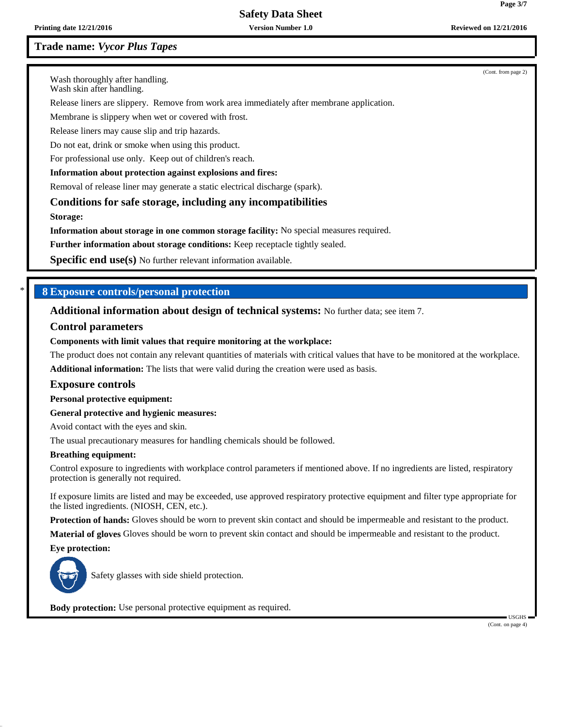**Safety Data Sheet**

# **Trade name:** *Vycor Plus Tapes*

(Cont. from page 2)

Wash thoroughly after handling.

Wash skin after handling.

Release liners are slippery. Remove from work area immediately after membrane application.

Membrane is slippery when wet or covered with frost.

Release liners may cause slip and trip hazards.

Do not eat, drink or smoke when using this product.

For professional use only. Keep out of children's reach.

#### **Information about protection against explosions and fires:**

Removal of release liner may generate a static electrical discharge (spark).

**Conditions for safe storage, including any incompatibilities**

**Storage:**

**Information about storage in one common storage facility:** No special measures required.

**Further information about storage conditions:** Keep receptacle tightly sealed.

**Specific end use(s)** No further relevant information available.

## \* **8 Exposure controls/personal protection**

**Additional information about design of technical systems:** No further data; see item 7.

#### **Control parameters**

#### **Components with limit values that require monitoring at the workplace:**

The product does not contain any relevant quantities of materials with critical values that have to be monitored at the workplace. **Additional information:** The lists that were valid during the creation were used as basis.

#### **Exposure controls**

**Personal protective equipment:**

**General protective and hygienic measures:**

Avoid contact with the eyes and skin.

The usual precautionary measures for handling chemicals should be followed.

#### **Breathing equipment:**

Control exposure to ingredients with workplace control parameters if mentioned above. If no ingredients are listed, respiratory protection is generally not required.

If exposure limits are listed and may be exceeded, use approved respiratory protective equipment and filter type appropriate for the listed ingredients. (NIOSH, CEN, etc.).

**Protection of hands:** Gloves should be worn to prevent skin contact and should be impermeable and resistant to the product.

**Material of gloves** Gloves should be worn to prevent skin contact and should be impermeable and resistant to the product.

**Eye protection:**



Safety glasses with side shield protection.

**Body protection:** Use personal protective equipment as required.

 USGHS (Cont. on page 4)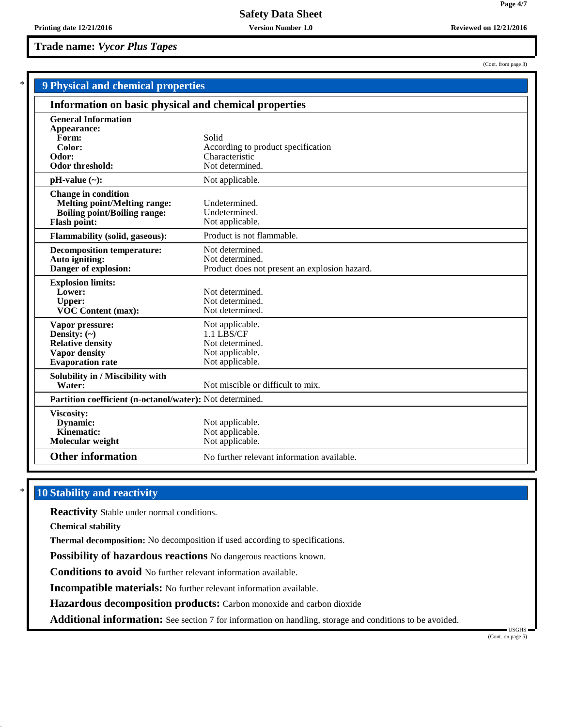**Trade name:** *Vycor Plus Tapes*

**Page 4/7**

(Cont. from page 3)

| <b>9 Physical and chemical properties</b>                |                                               |  |
|----------------------------------------------------------|-----------------------------------------------|--|
| Information on basic physical and chemical properties    |                                               |  |
| <b>General Information</b>                               |                                               |  |
| Appearance:                                              |                                               |  |
| Form:<br>Color:                                          | Solid<br>According to product specification   |  |
| Odor:                                                    | Characteristic                                |  |
| Odor threshold:                                          | Not determined.                               |  |
| $pH-value$ (~):                                          | Not applicable.                               |  |
| <b>Change in condition</b>                               |                                               |  |
| <b>Melting point/Melting range:</b>                      | Undetermined.                                 |  |
| <b>Boiling point/Boiling range:</b>                      | Undetermined.                                 |  |
| <b>Flash point:</b>                                      | Not applicable.                               |  |
| <b>Flammability (solid, gaseous):</b>                    | Product is not flammable.                     |  |
| <b>Decomposition temperature:</b>                        | Not determined.                               |  |
| Auto igniting:                                           | Not determined.                               |  |
| Danger of explosion:                                     | Product does not present an explosion hazard. |  |
| <b>Explosion limits:</b>                                 |                                               |  |
| Lower:                                                   | Not determined.                               |  |
| <b>Upper:</b>                                            | Not determined.                               |  |
| VOC Content (max):                                       | Not determined.                               |  |
| Vapor pressure:                                          | Not applicable.                               |  |
| Density: $(\sim)$                                        | 1.1 LBS/CF                                    |  |
| <b>Relative density</b>                                  | Not determined.                               |  |
| <b>Vapor density</b>                                     | Not applicable.                               |  |
| <b>Evaporation</b> rate                                  | Not applicable.                               |  |
| Solubility in / Miscibility with                         |                                               |  |
| Water:                                                   | Not miscible or difficult to mix.             |  |
| Partition coefficient (n-octanol/water): Not determined. |                                               |  |
| Viscosity:                                               |                                               |  |
| Dynamic:                                                 | Not applicable.                               |  |
| Kinematic:                                               | Not applicable.                               |  |
| Molecular weight                                         | Not applicable.                               |  |
| <b>Other information</b>                                 | No further relevant information available.    |  |

# **10 Stability and reactivity**

**Reactivity** Stable under normal conditions.

**Chemical stability**

**Thermal decomposition:** No decomposition if used according to specifications.

**Possibility of hazardous reactions** No dangerous reactions known.

**Conditions to avoid** No further relevant information available.

**Incompatible materials:** No further relevant information available.

**Hazardous decomposition products:** Carbon monoxide and carbon dioxide

**Additional information:** See section 7 for information on handling, storage and conditions to be avoided.

 USGHS (Cont. on page 5)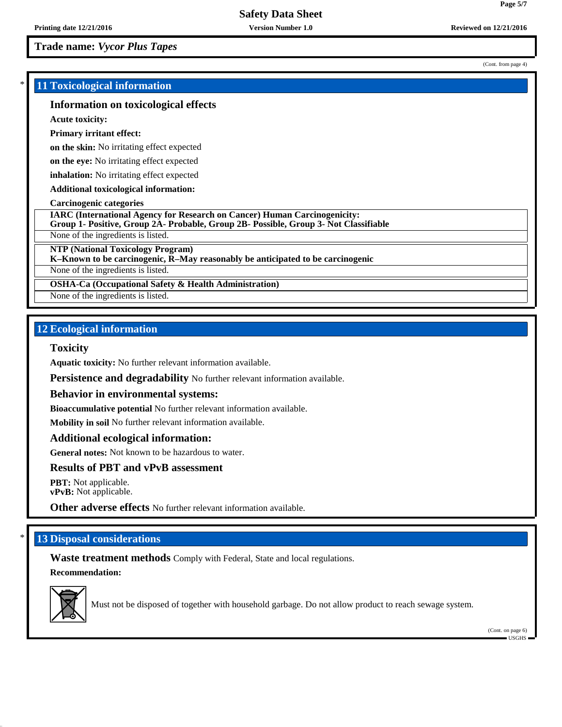**Trade name:** *Vycor Plus Tapes*

# \* **11 Toxicological information**

## **Information on toxicological effects**

**Acute toxicity:**

#### **Primary irritant effect:**

**on the skin:** No irritating effect expected

**on the eye:** No irritating effect expected

**inhalation:** No irritating effect expected

**Additional toxicological information:**

#### **Carcinogenic categories**

**NTP (National Toxicology Program)**

None of the ingredients is listed.

**OSHA-Ca (Occupational Safety & Health Administration)**

None of the ingredients is listed.

# **12 Ecological information**

#### **Toxicity**

**Aquatic toxicity:** No further relevant information available.

**Persistence and degradability** No further relevant information available.

#### **Behavior in environmental systems:**

**Bioaccumulative potential** No further relevant information available.

**Mobility in soil** No further relevant information available.

#### **Additional ecological information:**

**General notes:** Not known to be hazardous to water.

**Results of PBT and vPvB assessment**

**PBT:** Not applicable. **vPvB:** Not applicable.

**Other adverse effects** No further relevant information available.

# **13 Disposal considerations**

**Waste treatment methods** Comply with Federal, State and local regulations. **Recommendation:**



Must not be disposed of together with household garbage. Do not allow product to reach sewage system.

(Cont. on page 6) USGHS

(Cont. from page 4)

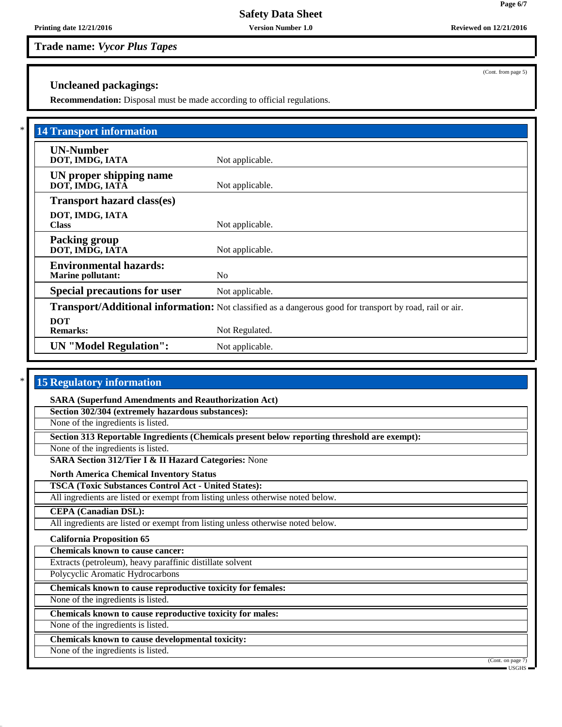**Printing date 12/21/2016 Version Number 1.0 Reviewed on 12/21/2016**

# **Trade name:** *Vycor Plus Tapes*

# **Uncleaned packagings:**

**Recommendation:** Disposal must be made according to official regulations.

| <b>14 Transport information</b>                           |                                                                                                                 |
|-----------------------------------------------------------|-----------------------------------------------------------------------------------------------------------------|
| <b>UN-Number</b><br>DOT, IMDG, IATA                       | Not applicable.                                                                                                 |
| UN proper shipping name<br>DOT, IMDG, IATA                | Not applicable.                                                                                                 |
| <b>Transport hazard class(es)</b>                         |                                                                                                                 |
| DOT, IMDG, IATA<br><b>Class</b>                           | Not applicable.                                                                                                 |
| <b>Packing group</b><br>DOT, IMDG, IATA                   | Not applicable.                                                                                                 |
| <b>Environmental hazards:</b><br><b>Marine pollutant:</b> | N <sub>0</sub>                                                                                                  |
| <b>Special precautions for user</b>                       | Not applicable.                                                                                                 |
|                                                           | <b>Transport/Additional information:</b> Not classified as a dangerous good for transport by road, rail or air. |
| <b>DOT</b><br><b>Remarks:</b>                             | Not Regulated.                                                                                                  |
| <b>UN</b> "Model Regulation":                             | Not applicable.                                                                                                 |

# **15 Regulatory information**

**SARA (Superfund Amendments and Reauthorization Act)**

**Section 302/304 (extremely hazardous substances):**

None of the ingredients is listed.

**Section 313 Reportable Ingredients (Chemicals present below reporting threshold are exempt):**

None of the ingredients is listed.

**SARA Section 312/Tier I & II Hazard Categories:** None

**North America Chemical Inventory Status**

**TSCA (Toxic Substances Control Act - United States):**

All ingredients are listed or exempt from listing unless otherwise noted below.

**CEPA (Canadian DSL):**

All ingredients are listed or exempt from listing unless otherwise noted below.

## **California Proposition 65**

**Chemicals known to cause cancer:**

Extracts (petroleum), heavy paraffinic distillate solvent

Polycyclic Aromatic Hydrocarbons

**Chemicals known to cause reproductive toxicity for females:**

None of the ingredients is listed.

**Chemicals known to cause reproductive toxicity for males:**

None of the ingredients is listed.

**Chemicals known to cause developmental toxicity:**

None of the ingredients is listed.

(Cont. on page 7)

(Cont. from page 5)